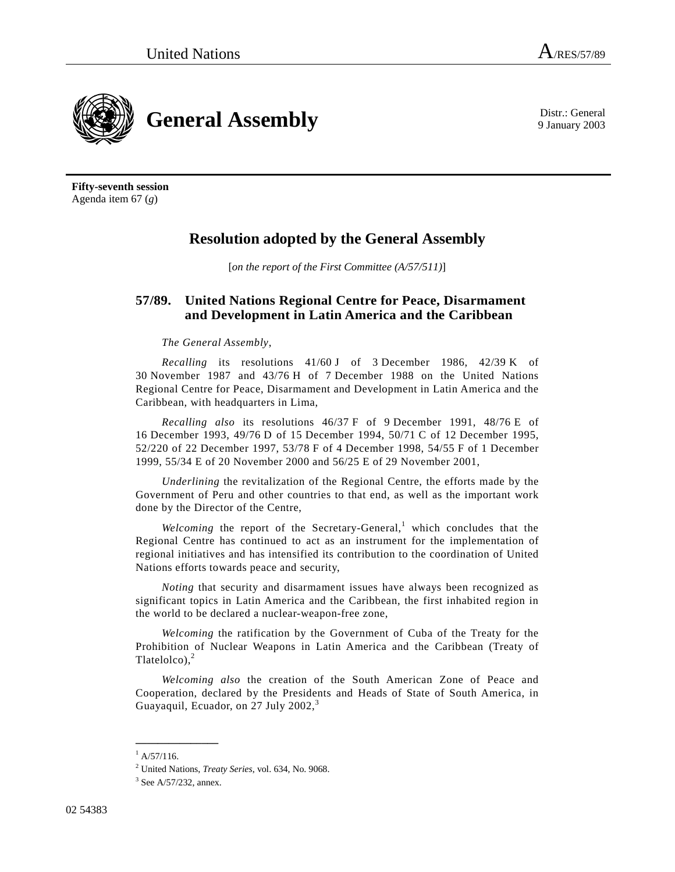9 January 2003



**Fifty-seventh session**  Agenda item 67 (*g*)

## **Resolution adopted by the General Assembly**

[*on the report of the First Committee (A/57/511)*]

## **57/89. United Nations Regional Centre for Peace, Disarmament and Development in Latin America and the Caribbean**

## *The General Assembly*,

*Recalling* its resolutions 41/60 J of 3 December 1986, 42/39 K of 30 November 1987 and 43/76 H of 7 December 1988 on the United Nations Regional Centre for Peace, Disarmament and Development in Latin America and the Caribbean, with headquarters in Lima,

*Recalling also* its resolutions 46/37 F of 9 December 1991, 48/76 E of 16 December 1993, 49/76 D of 15 December 1994, 50/71 C of 12 December 1995, 52/220 of 22 December 1997, 53/78 F of 4 December 1998, 54/55 F of 1 December 1999, 55/34 E of 20 November 2000 and 56/25 E of 29 November 2001,

*Underlining* the revitalization of the Regional Centre, the efforts made by the Government of Peru and other countries to that end, as well as the important work done by the Director of the Centre,

Welcoming the report of the Secretary-General,<sup>1</sup> which concludes that the Regional Centre has continued to act as an instrument for the implementation of regional initiatives and has intensified its contribution to the coordination of United Nations efforts towards peace and security,

*Noting* that security and disarmament issues have always been recognized as significant topics in Latin America and the Caribbean, the first inhabited region in the world to be declared a nuclear-weapon-free zone,

*Welcoming* the ratification by the Government of Cuba of the Treaty for the Prohibition of Nuclear Weapons in Latin America and the Caribbean (Treaty of Tlatelolco), $<sup>2</sup>$ </sup>

*Welcoming also* the creation of the South American Zone of Peace and Cooperation, declared by the Presidents and Heads of State of South America, in Guayaquil, Ecuador, on  $27$  July  $2002$ ,<sup>3</sup>

**\_\_\_\_\_\_\_\_\_\_\_\_\_\_\_** 

 $^{1}$  A/57/116.

<sup>&</sup>lt;sup>2</sup> United Nations, *Treaty Series*, vol. 634, No. 9068.<br><sup>3</sup> See A.<sup>67</sup>/232, appex

 $3$  See A/57/232, annex.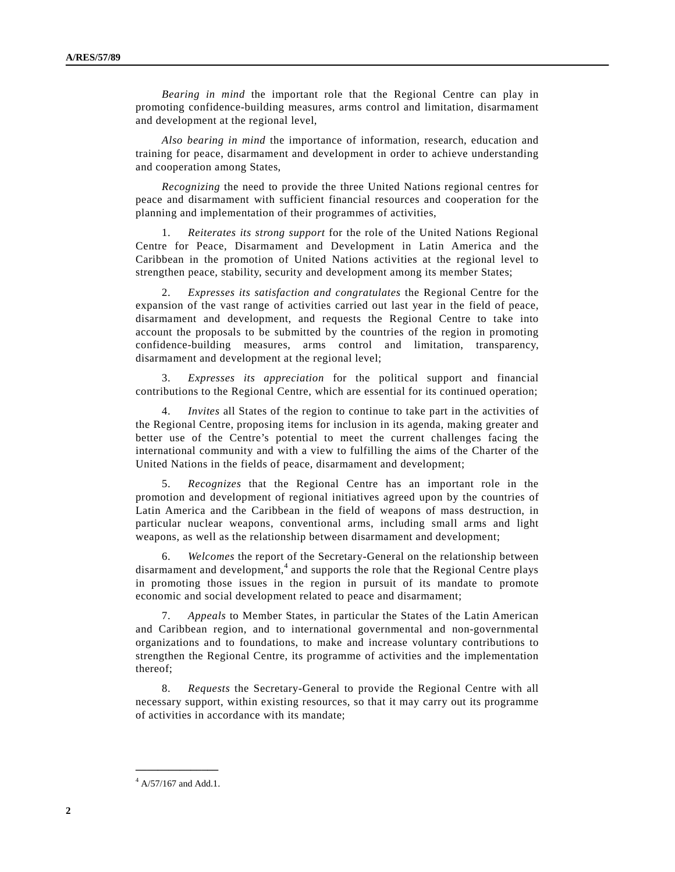*Bearing in mind* the important role that the Regional Centre can play in promoting confidence-building measures, arms control and limitation, disarmament and development at the regional level,

*Also bearing in mind* the importance of information, research, education and training for peace, disarmament and development in order to achieve understanding and cooperation among States,

*Recognizing* the need to provide the three United Nations regional centres for peace and disarmament with sufficient financial resources and cooperation for the planning and implementation of their programmes of activities,

 1. *Reiterates its strong support* for the role of the United Nations Regional Centre for Peace, Disarmament and Development in Latin America and the Caribbean in the promotion of United Nations activities at the regional level to strengthen peace, stability, security and development among its member States;

 2. *Expresses its satisfaction and congratulates* the Regional Centre for the expansion of the vast range of activities carried out last year in the field of peace, disarmament and development, and requests the Regional Centre to take into account the proposals to be submitted by the countries of the region in promoting confidence-building measures, arms control and limitation, transparency, disarmament and development at the regional level;

 3. *Expresses its appreciation* for the political support and financial contributions to the Regional Centre, which are essential for its continued operation;

 4. *Invites* all States of the region to continue to take part in the activities of the Regional Centre, proposing items for inclusion in its agenda, making greater and better use of the Centre's potential to meet the current challenges facing the international community and with a view to fulfilling the aims of the Charter of the United Nations in the fields of peace, disarmament and development;

 5. *Recognizes* that the Regional Centre has an important role in the promotion and development of regional initiatives agreed upon by the countries of Latin America and the Caribbean in the field of weapons of mass destruction, in particular nuclear weapons, conventional arms, including small arms and light weapons, as well as the relationship between disarmament and development;

 6. *Welcomes* the report of the Secretary-General on the relationship between disarmament and development,<sup>4</sup> and supports the role that the Regional Centre plays in promoting those issues in the region in pursuit of its mandate to promote economic and social development related to peace and disarmament;

 7. *Appeals* to Member States, in particular the States of the Latin American and Caribbean region, and to international governmental and non-governmental organizations and to foundations, to make and increase voluntary contributions to strengthen the Regional Centre, its programme of activities and the implementation thereof;

 8. *Requests* the Secretary-General to provide the Regional Centre with all necessary support, within existing resources, so that it may carry out its programme of activities in accordance with its mandate;

**\_\_\_\_\_\_\_\_\_\_\_\_\_\_\_**   $4$  A/57/167 and Add.1.